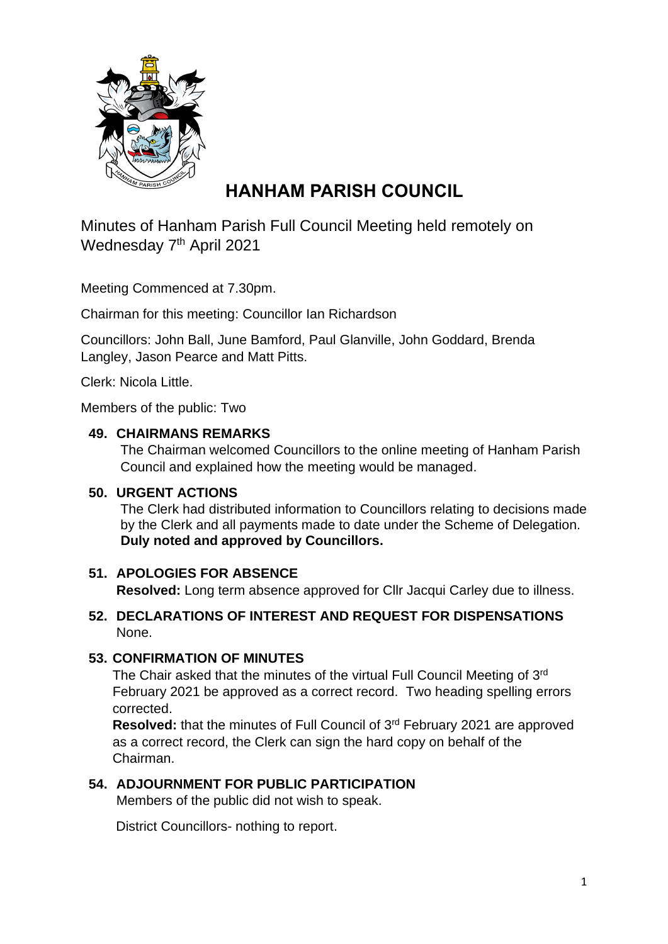

# **HANHAM PARISH COUNCIL**

Minutes of Hanham Parish Full Council Meeting held remotely on Wednesday 7<sup>th</sup> April 2021

Meeting Commenced at 7.30pm.

Chairman for this meeting: Councillor Ian Richardson

Councillors: John Ball, June Bamford, Paul Glanville, John Goddard, Brenda Langley, Jason Pearce and Matt Pitts.

Clerk: Nicola Little.

Members of the public: Two

#### **49. CHAIRMANS REMARKS**

The Chairman welcomed Councillors to the online meeting of Hanham Parish Council and explained how the meeting would be managed.

#### **50. URGENT ACTIONS**

The Clerk had distributed information to Councillors relating to decisions made by the Clerk and all payments made to date under the Scheme of Delegation. **Duly noted and approved by Councillors.**

#### **51. APOLOGIES FOR ABSENCE**

 **Resolved:** Long term absence approved for Cllr Jacqui Carley due to illness.

#### **52. DECLARATIONS OF INTEREST AND REQUEST FOR DISPENSATIONS** None.

## **53. CONFIRMATION OF MINUTES**

The Chair asked that the minutes of the virtual Full Council Meeting of  $3<sup>rd</sup>$ February 2021 be approved as a correct record. Two heading spelling errors corrected.

Resolved: that the minutes of Full Council of 3<sup>rd</sup> February 2021 are approved as a correct record, the Clerk can sign the hard copy on behalf of the Chairman.

## **54. ADJOURNMENT FOR PUBLIC PARTICIPATION**

Members of the public did not wish to speak.

District Councillors- nothing to report.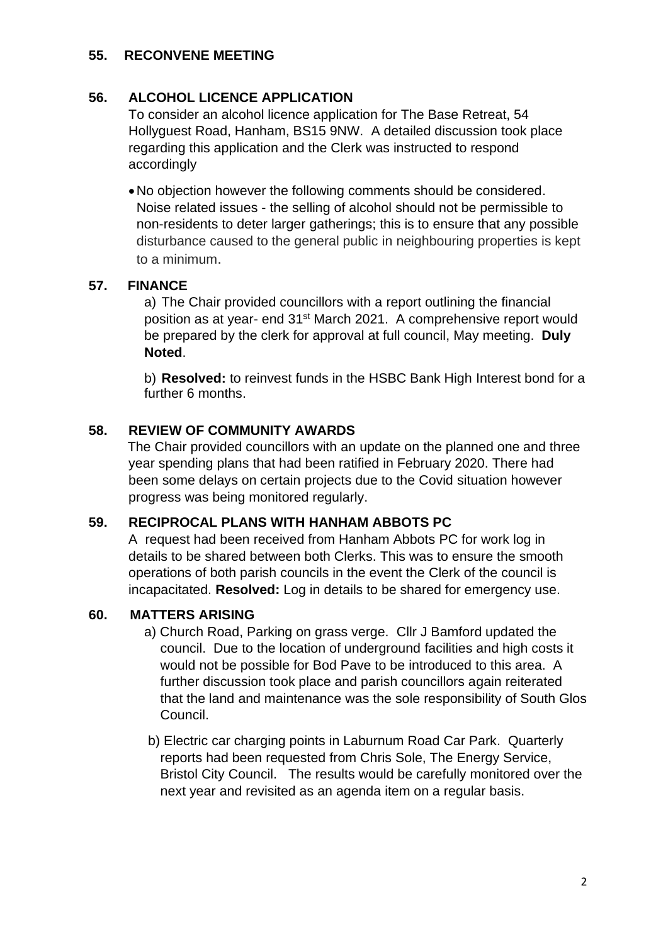#### **55. RECONVENE MEETING**

# **56. ALCOHOL LICENCE APPLICATION**

To consider an alcohol licence application for The Base Retreat, 54 Hollyguest Road, Hanham, BS15 9NW. A detailed discussion took place regarding this application and the Clerk was instructed to respond accordingly

•No objection however the following comments should be considered. Noise related issues - the selling of alcohol should not be permissible to non-residents to deter larger gatherings; this is to ensure that any possible disturbance caused to the general public in neighbouring properties is kept to a minimum.

## **57. FINANCE**

a) The Chair provided councillors with a report outlining the financial position as at year- end 31<sup>st</sup> March 2021. A comprehensive report would be prepared by the clerk for approval at full council, May meeting. **Duly Noted**.

b) **Resolved:** to reinvest funds in the HSBC Bank High Interest bond for a further 6 months.

# **58. REVIEW OF COMMUNITY AWARDS**

 The Chair provided councillors with an update on the planned one and three year spending plans that had been ratified in February 2020. There had been some delays on certain projects due to the Covid situation however progress was being monitored regularly.

## **59. RECIPROCAL PLANS WITH HANHAM ABBOTS PC**

A request had been received from Hanham Abbots PC for work log in details to be shared between both Clerks. This was to ensure the smooth operations of both parish councils in the event the Clerk of the council is incapacitated. **Resolved:** Log in details to be shared for emergency use.

## **60. MATTERS ARISING**

- a) Church Road, Parking on grass verge. Cllr J Bamford updated the council. Due to the location of underground facilities and high costs it would not be possible for Bod Pave to be introduced to this area. A further discussion took place and parish councillors again reiterated that the land and maintenance was the sole responsibility of South Glos Council.
- b) Electric car charging points in Laburnum Road Car Park. Quarterly reports had been requested from Chris Sole, The Energy Service, Bristol City Council. The results would be carefully monitored over the next year and revisited as an agenda item on a regular basis.